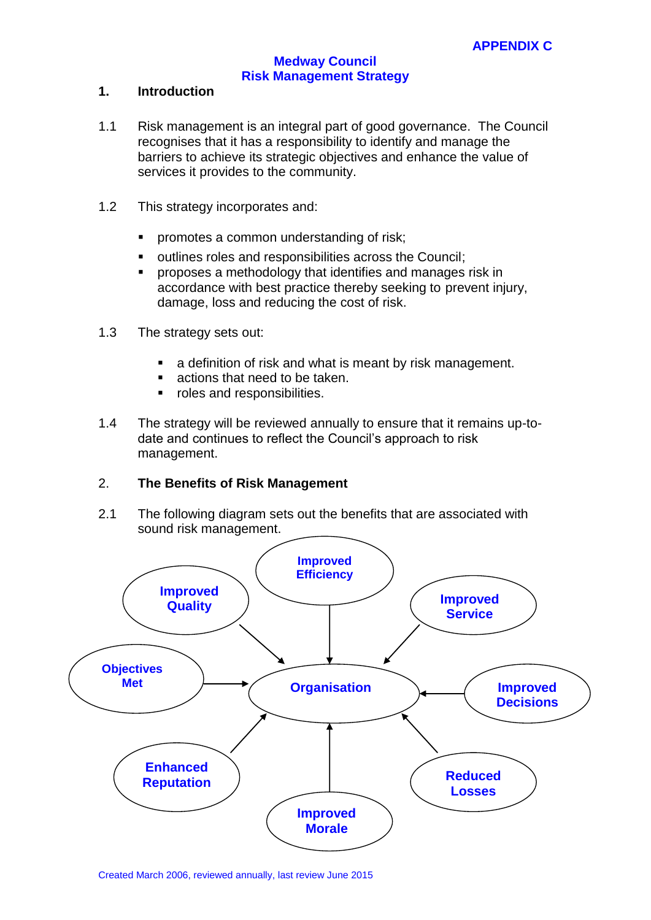## **1. Introduction**

- 1.1 Risk management is an integral part of good governance. The Council recognises that it has a responsibility to identify and manage the barriers to achieve its strategic objectives and enhance the value of services it provides to the community.
- 1.2 This strategy incorporates and:
	- promotes a common understanding of risk;
	- outlines roles and responsibilities across the Council;
	- proposes a methodology that identifies and manages risk in accordance with best practice thereby seeking to prevent injury, damage, loss and reducing the cost of risk.
- 1.3 The strategy sets out:
	- **a** definition of risk and what is meant by risk management.
	- actions that need to be taken.
	- **•** roles and responsibilities.
- 1.4 The strategy will be reviewed annually to ensure that it remains up-todate and continues to reflect the Council's approach to risk management.

# 2. **The Benefits of Risk Management**

2.1 The following diagram sets out the benefits that are associated with sound risk management.

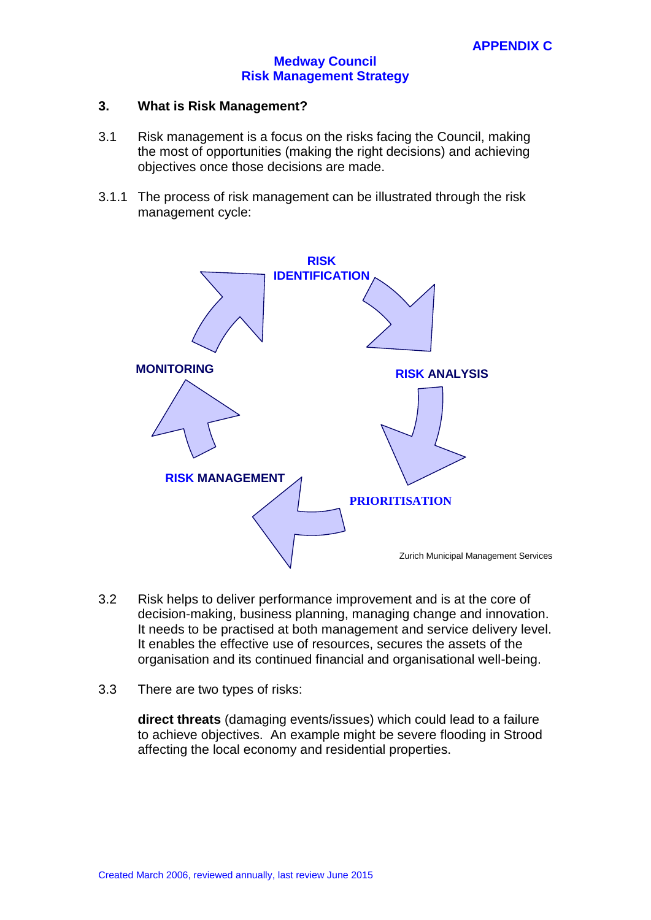#### **3. What is Risk Management?**

- 3.1 Risk management is a focus on the risks facing the Council, making the most of opportunities (making the right decisions) and achieving objectives once those decisions are made.
- 3.1.1 The process of risk management can be illustrated through the risk management cycle:

![](_page_1_Figure_5.jpeg)

- 3.2 Risk helps to deliver performance improvement and is at the core of decision-making, business planning, managing change and innovation. It needs to be practised at both management and service delivery level. It enables the effective use of resources, secures the assets of the organisation and its continued financial and organisational well-being.
- 3.3 There are two types of risks:

**direct threats** (damaging events/issues) which could lead to a failure to achieve objectives. An example might be severe flooding in Strood affecting the local economy and residential properties.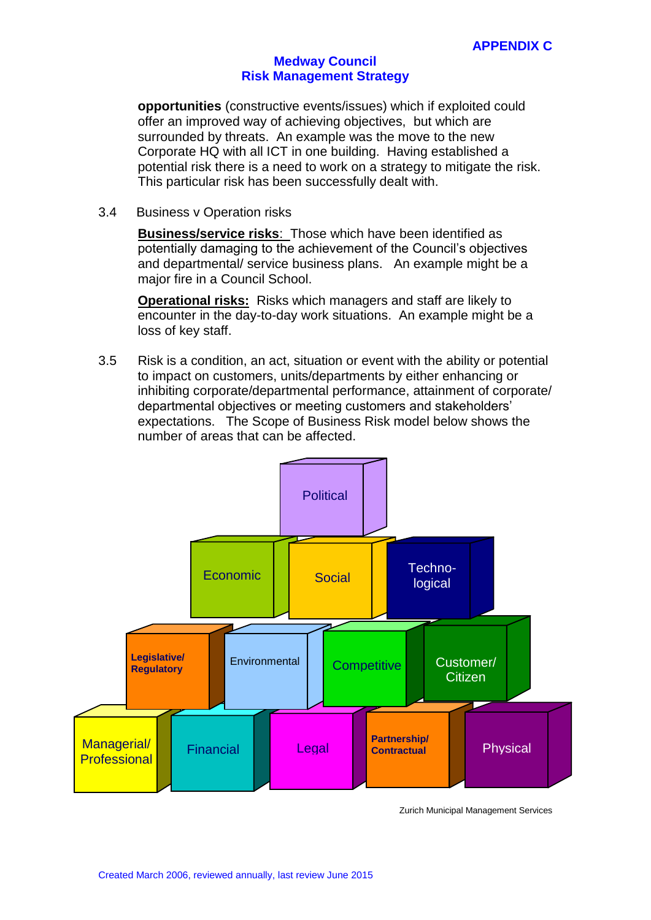**opportunities** (constructive events/issues) which if exploited could offer an improved way of achieving objectives, but which are surrounded by threats. An example was the move to the new Corporate HQ with all ICT in one building. Having established a potential risk there is a need to work on a strategy to mitigate the risk. This particular risk has been successfully dealt with.

3.4 Business v Operation risks

**Business/service risks**: Those which have been identified as potentially damaging to the achievement of the Council's objectives and departmental/ service business plans. An example might be a major fire in a Council School.

**Operational risks:** Risks which managers and staff are likely to encounter in the day-to-day work situations. An example might be a loss of key staff.

3.5 Risk is a condition, an act, situation or event with the ability or potential to impact on customers, units/departments by either enhancing or inhibiting corporate/departmental performance, attainment of corporate/ departmental objectives or meeting customers and stakeholders' expectations. The Scope of Business Risk model below shows the number of areas that can be affected.

![](_page_2_Figure_7.jpeg)

Zurich Municipal Management Services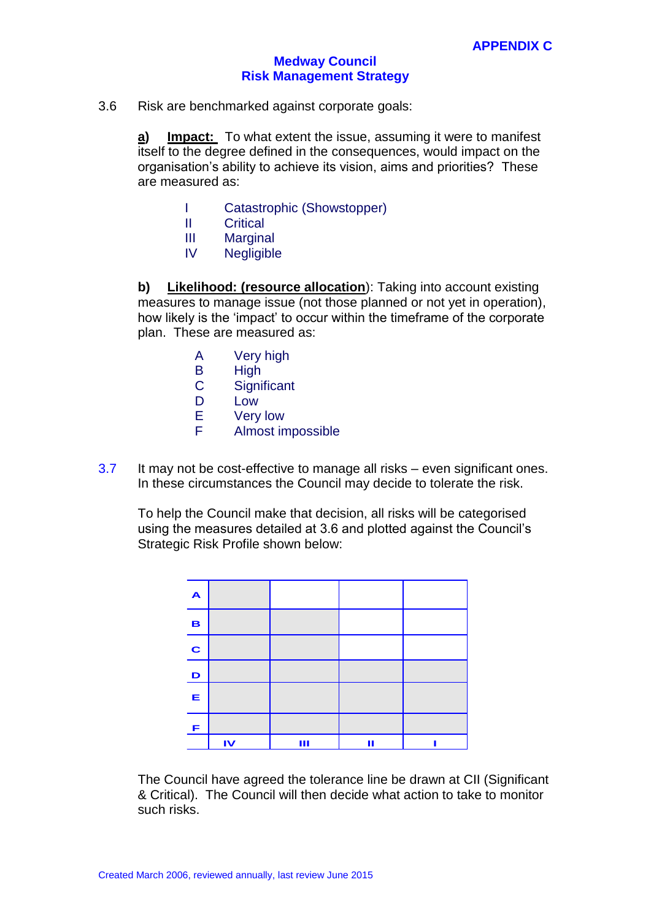3.6 Risk are benchmarked against corporate goals:

**a) Impact:** To what extent the issue, assuming it were to manifest itself to the degree defined in the consequences, would impact on the organisation's ability to achieve its vision, aims and priorities? These are measured as:

- I Catastrophic (Showstopper)
- II Critical
- III Marginal
- IV Negligible

**b) Likelihood: (resource allocation**): Taking into account existing measures to manage issue (not those planned or not yet in operation), how likely is the 'impact' to occur within the timeframe of the corporate plan. These are measured as:

- A Very high
- B High
- C Significant
- D Low
- E Very low
- F Almost impossible
- 3.7 It may not be cost-effective to manage all risks even significant ones. In these circumstances the Council may decide to tolerate the risk.

To help the Council make that decision, all risks will be categorised using the measures detailed at 3.6 and plotted against the Council's Strategic Risk Profile shown below:

![](_page_3_Figure_17.jpeg)

The Council have agreed the tolerance line be drawn at CII (Significant & Critical). The Council will then decide what action to take to monitor such risks.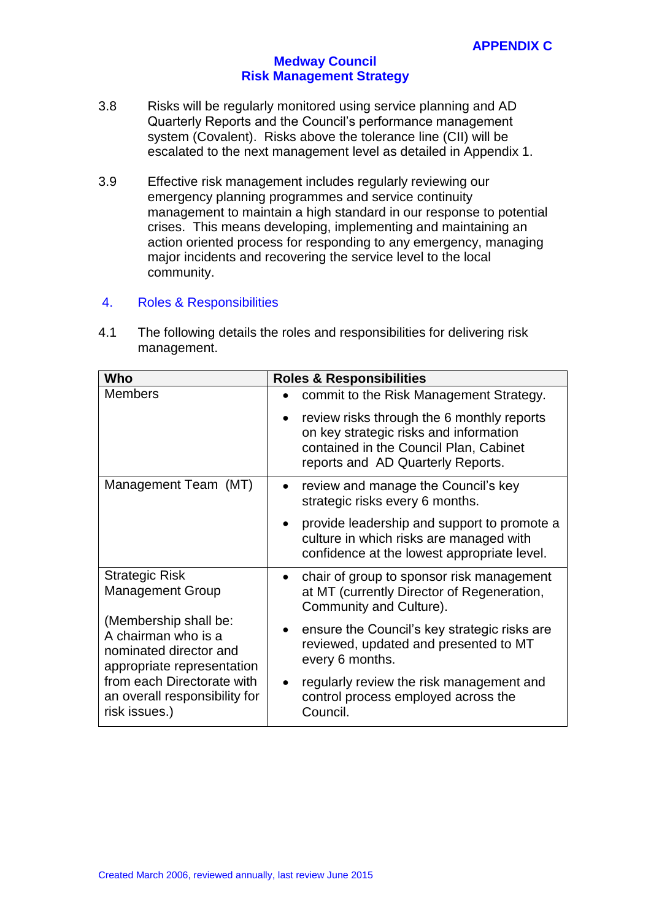- 3.8 Risks will be regularly monitored using service planning and AD Quarterly Reports and the Council's performance management system (Covalent). Risks above the tolerance line (CII) will be escalated to the next management level as detailed in Appendix 1.
- 3.9 Effective risk management includes regularly reviewing our emergency planning programmes and service continuity management to maintain a high standard in our response to potential crises. This means developing, implementing and maintaining an action oriented process for responding to any emergency, managing major incidents and recovering the service level to the local community.

# 4. Roles & Responsibilities

4.1 The following details the roles and responsibilities for delivering risk management.

| Who                                                                                                                                                                                                                                      | <b>Roles &amp; Responsibilities</b>                                                                                                                                 |
|------------------------------------------------------------------------------------------------------------------------------------------------------------------------------------------------------------------------------------------|---------------------------------------------------------------------------------------------------------------------------------------------------------------------|
| <b>Members</b>                                                                                                                                                                                                                           | commit to the Risk Management Strategy.                                                                                                                             |
|                                                                                                                                                                                                                                          | review risks through the 6 monthly reports<br>on key strategic risks and information<br>contained in the Council Plan, Cabinet<br>reports and AD Quarterly Reports. |
| Management Team (MT)                                                                                                                                                                                                                     | review and manage the Council's key<br>strategic risks every 6 months.                                                                                              |
|                                                                                                                                                                                                                                          | provide leadership and support to promote a<br>culture in which risks are managed with<br>confidence at the lowest appropriate level.                               |
| <b>Strategic Risk</b><br><b>Management Group</b><br>(Membership shall be:<br>A chairman who is a<br>nominated director and<br>appropriate representation<br>from each Directorate with<br>an overall responsibility for<br>risk issues.) | chair of group to sponsor risk management<br>at MT (currently Director of Regeneration,<br>Community and Culture).                                                  |
|                                                                                                                                                                                                                                          | ensure the Council's key strategic risks are<br>$\bullet$<br>reviewed, updated and presented to MT<br>every 6 months.                                               |
|                                                                                                                                                                                                                                          | regularly review the risk management and<br>control process employed across the<br>Council.                                                                         |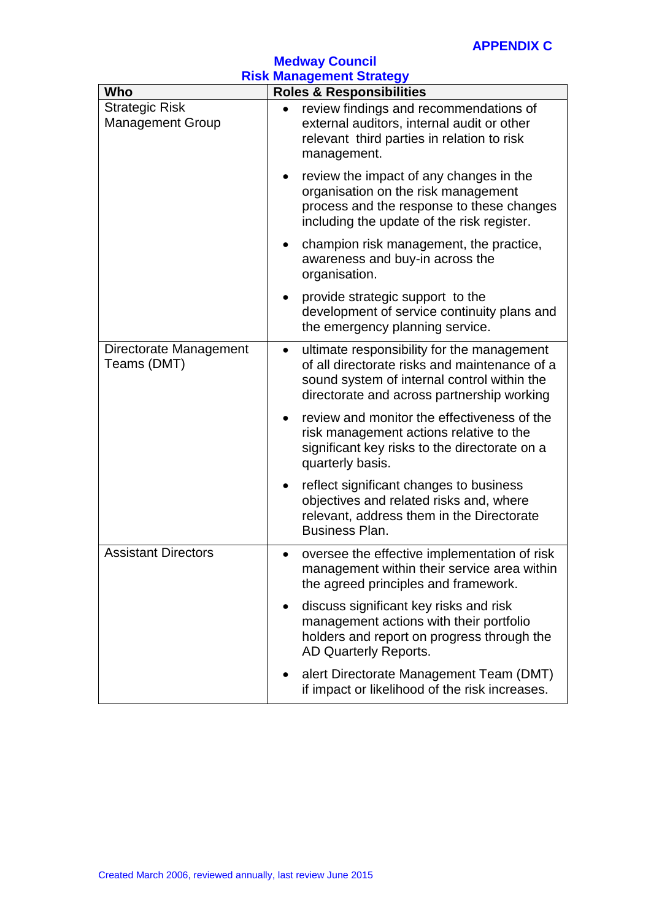| <b>Medway Council</b>                                                         |                                                                                                                                                                                          |  |
|-------------------------------------------------------------------------------|------------------------------------------------------------------------------------------------------------------------------------------------------------------------------------------|--|
| <b>Risk Management Strategy</b><br>Who<br><b>Roles &amp; Responsibilities</b> |                                                                                                                                                                                          |  |
| <b>Strategic Risk</b><br><b>Management Group</b>                              | review findings and recommendations of<br>$\bullet$<br>external auditors, internal audit or other<br>relevant third parties in relation to risk<br>management.                           |  |
|                                                                               | review the impact of any changes in the<br>٠<br>organisation on the risk management<br>process and the response to these changes<br>including the update of the risk register.           |  |
|                                                                               | champion risk management, the practice,<br>awareness and buy-in across the<br>organisation.                                                                                              |  |
|                                                                               | provide strategic support to the<br>development of service continuity plans and<br>the emergency planning service.                                                                       |  |
| Directorate Management<br>Teams (DMT)                                         | ultimate responsibility for the management<br>of all directorate risks and maintenance of a<br>sound system of internal control within the<br>directorate and across partnership working |  |
|                                                                               | review and monitor the effectiveness of the<br>$\bullet$<br>risk management actions relative to the<br>significant key risks to the directorate on a<br>quarterly basis.                 |  |
|                                                                               | reflect significant changes to business<br>objectives and related risks and, where<br>relevant, address them in the Directorate<br>Business Plan.                                        |  |
| <b>Assistant Directors</b>                                                    | oversee the effective implementation of risk<br>$\bullet$<br>management within their service area within<br>the agreed principles and framework.                                         |  |
|                                                                               | discuss significant key risks and risk<br>management actions with their portfolio<br>holders and report on progress through the<br>AD Quarterly Reports.                                 |  |
|                                                                               | alert Directorate Management Team (DMT)<br>if impact or likelihood of the risk increases.                                                                                                |  |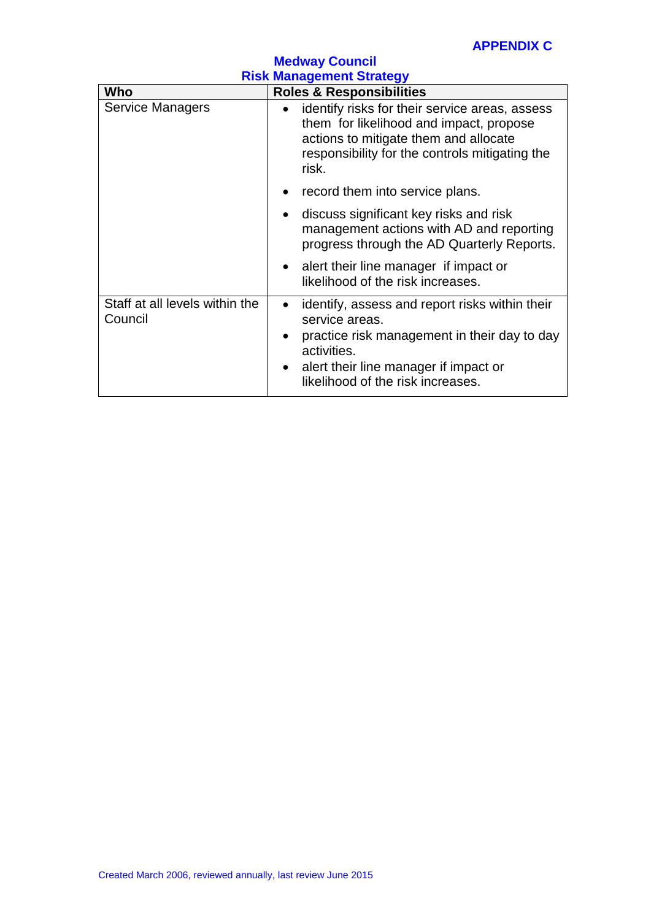| <b>Medway Council</b><br><b>Risk Management Strategy</b> |                                                                                                                                                                                                                            |
|----------------------------------------------------------|----------------------------------------------------------------------------------------------------------------------------------------------------------------------------------------------------------------------------|
| Who                                                      | <b>Roles &amp; Responsibilities</b>                                                                                                                                                                                        |
| <b>Service Managers</b>                                  | identify risks for their service areas, assess<br>them for likelihood and impact, propose<br>actions to mitigate them and allocate<br>responsibility for the controls mitigating the<br>risk.                              |
|                                                          | record them into service plans.                                                                                                                                                                                            |
|                                                          | discuss significant key risks and risk<br>management actions with AD and reporting<br>progress through the AD Quarterly Reports.                                                                                           |
|                                                          | alert their line manager if impact or<br>$\bullet$<br>likelihood of the risk increases.                                                                                                                                    |
| Staff at all levels within the<br>Council                | identify, assess and report risks within their<br>service areas.<br>practice risk management in their day to day<br>activities.<br>alert their line manager if impact or<br>$\bullet$<br>likelihood of the risk increases. |